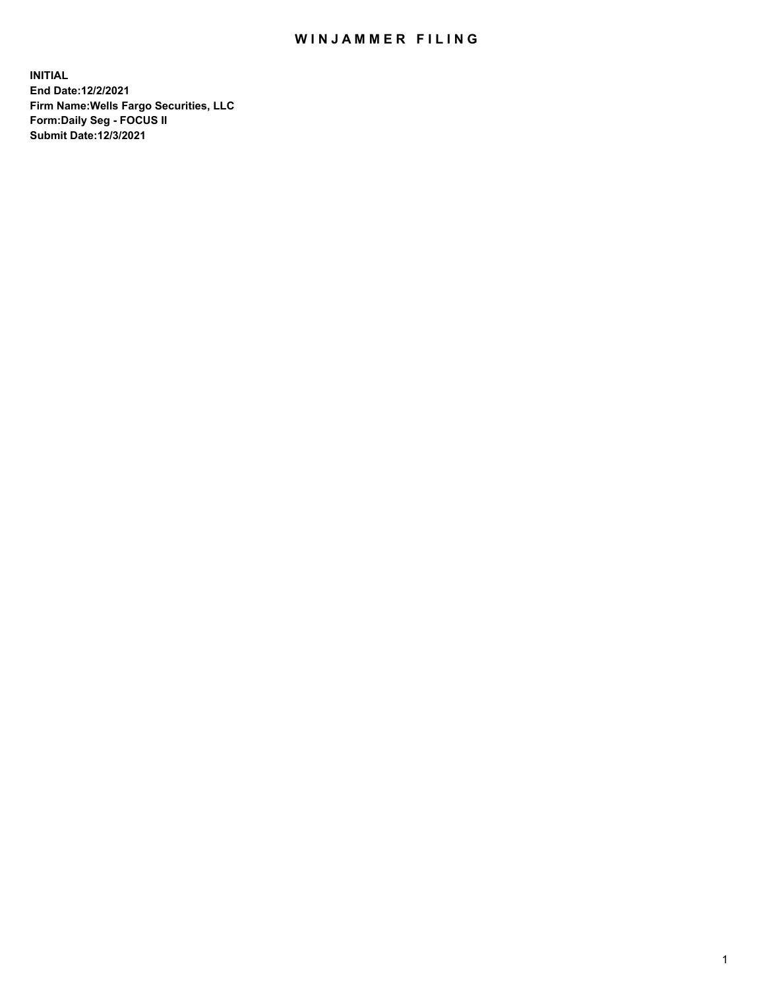## WIN JAMMER FILING

**INITIAL End Date:12/2/2021 Firm Name:Wells Fargo Securities, LLC Form:Daily Seg - FOCUS II Submit Date:12/3/2021**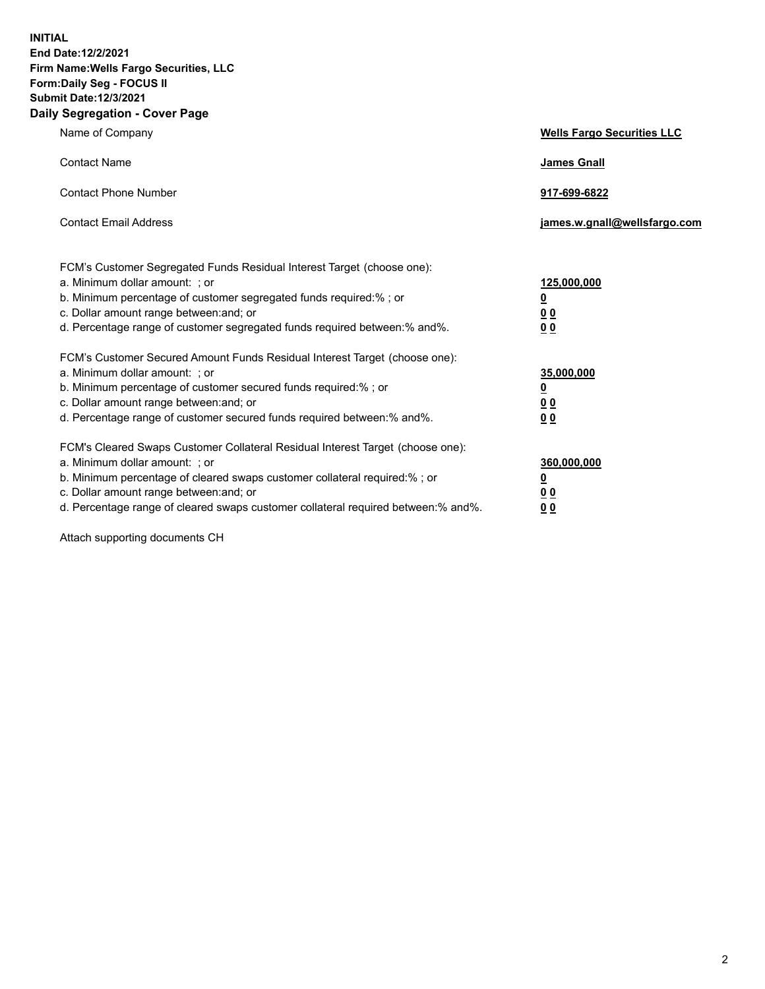**INITIAL End Date:12/2/2021 Firm Name:Wells Fargo Securities, LLC Form:Daily Seg - FOCUS II Submit Date:12/3/2021 Daily Segregation - Cover Page**

| Name of Company                                                                                                                                                                                                                                                                                                                | <b>Wells Fargo Securities LLC</b>                           |
|--------------------------------------------------------------------------------------------------------------------------------------------------------------------------------------------------------------------------------------------------------------------------------------------------------------------------------|-------------------------------------------------------------|
| <b>Contact Name</b>                                                                                                                                                                                                                                                                                                            | <b>James Gnall</b>                                          |
| <b>Contact Phone Number</b>                                                                                                                                                                                                                                                                                                    | 917-699-6822                                                |
| <b>Contact Email Address</b>                                                                                                                                                                                                                                                                                                   | james.w.gnall@wellsfargo.com                                |
| FCM's Customer Segregated Funds Residual Interest Target (choose one):<br>a. Minimum dollar amount: ; or<br>b. Minimum percentage of customer segregated funds required:% ; or<br>c. Dollar amount range between: and; or<br>d. Percentage range of customer segregated funds required between:% and%.                         | 125,000,000<br><u>0</u><br>0 <sub>0</sub><br>0 <sub>0</sub> |
| FCM's Customer Secured Amount Funds Residual Interest Target (choose one):<br>a. Minimum dollar amount: ; or<br>b. Minimum percentage of customer secured funds required:%; or<br>c. Dollar amount range between: and; or<br>d. Percentage range of customer secured funds required between:% and%.                            | 35,000,000<br><u>0</u><br>00<br>0 <sub>0</sub>              |
| FCM's Cleared Swaps Customer Collateral Residual Interest Target (choose one):<br>a. Minimum dollar amount: ; or<br>b. Minimum percentage of cleared swaps customer collateral required:% ; or<br>c. Dollar amount range between: and; or<br>d. Percentage range of cleared swaps customer collateral required between:% and%. | 360,000,000<br><u>0</u><br>0 <sub>0</sub><br>0 <sub>0</sub> |

Attach supporting documents CH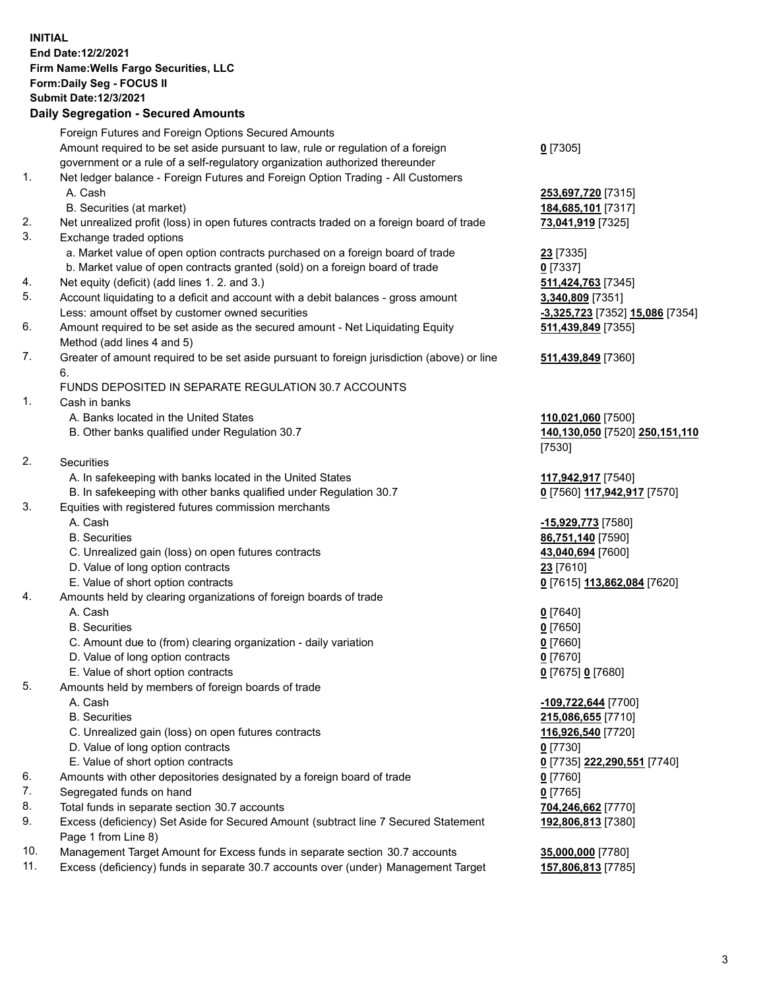**INITIAL End Date:12/2/2021 Firm Name:Wells Fargo Securities, LLC Form:Daily Seg - FOCUS II Submit Date:12/3/2021**

## **Daily Segregation - Secured Amounts**

|     | Foreign Futures and Foreign Options Secured Amounts                                         |                                 |
|-----|---------------------------------------------------------------------------------------------|---------------------------------|
|     | Amount required to be set aside pursuant to law, rule or regulation of a foreign            | $0$ [7305]                      |
|     | government or a rule of a self-regulatory organization authorized thereunder                |                                 |
| 1.  | Net ledger balance - Foreign Futures and Foreign Option Trading - All Customers             |                                 |
|     | A. Cash                                                                                     | 253,697,720 [7315]              |
|     | B. Securities (at market)                                                                   | 184,685,101 [7317]              |
| 2.  | Net unrealized profit (loss) in open futures contracts traded on a foreign board of trade   | 73,041,919 [7325]               |
| 3.  | Exchange traded options                                                                     |                                 |
|     | a. Market value of open option contracts purchased on a foreign board of trade              | <b>23</b> [7335]                |
|     | b. Market value of open contracts granted (sold) on a foreign board of trade                | $0$ [7337]                      |
| 4.  | Net equity (deficit) (add lines 1. 2. and 3.)                                               | 511,424,763 [7345]              |
| 5.  | Account liquidating to a deficit and account with a debit balances - gross amount           | 3,340,809 [7351]                |
|     | Less: amount offset by customer owned securities                                            | -3,325,723 [7352] 15,086 [7354] |
| 6.  | Amount required to be set aside as the secured amount - Net Liquidating Equity              | 511,439,849 [7355]              |
|     | Method (add lines 4 and 5)                                                                  |                                 |
| 7.  | Greater of amount required to be set aside pursuant to foreign jurisdiction (above) or line | 511,439,849 [7360]              |
|     | 6.                                                                                          |                                 |
|     | FUNDS DEPOSITED IN SEPARATE REGULATION 30.7 ACCOUNTS                                        |                                 |
| 1.  | Cash in banks                                                                               |                                 |
|     | A. Banks located in the United States                                                       | 110,021,060 [7500]              |
|     | B. Other banks qualified under Regulation 30.7                                              | 140,130,050 [7520] 250,151,110  |
|     |                                                                                             | [7530]                          |
| 2.  | <b>Securities</b>                                                                           |                                 |
|     | A. In safekeeping with banks located in the United States                                   | 117,942,917 [7540]              |
|     | B. In safekeeping with other banks qualified under Regulation 30.7                          | 0 [7560] 117,942,917 [7570]     |
| 3.  | Equities with registered futures commission merchants                                       |                                 |
|     | A. Cash                                                                                     | -15,929,773 [7580]              |
|     | <b>B.</b> Securities                                                                        | 86,751,140 [7590]               |
|     | C. Unrealized gain (loss) on open futures contracts                                         | 43,040,694 [7600]               |
|     | D. Value of long option contracts                                                           | 23 [7610]                       |
|     | E. Value of short option contracts                                                          | 0 [7615] 113,862,084 [7620]     |
| 4.  | Amounts held by clearing organizations of foreign boards of trade                           |                                 |
|     | A. Cash                                                                                     | $0$ [7640]                      |
|     | <b>B.</b> Securities                                                                        | $0$ [7650]                      |
|     | C. Amount due to (from) clearing organization - daily variation                             | $0$ [7660]                      |
|     | D. Value of long option contracts                                                           | $0$ [7670]                      |
|     | E. Value of short option contracts                                                          | 0 [7675] 0 [7680]               |
| 5.  | Amounts held by members of foreign boards of trade                                          |                                 |
|     | A. Cash                                                                                     | -109,722,644 [7700]             |
|     | <b>B.</b> Securities                                                                        | 215,086,655 [7710]              |
|     | C. Unrealized gain (loss) on open futures contracts                                         | 116,926,540 [7720]              |
|     | D. Value of long option contracts                                                           | $0$ [7730]                      |
|     | E. Value of short option contracts                                                          | 0 [7735] 222,290,551 [7740]     |
| 6.  | Amounts with other depositories designated by a foreign board of trade                      | $0$ [7760]                      |
| 7.  | Segregated funds on hand                                                                    | $0$ [7765]                      |
| 8.  | Total funds in separate section 30.7 accounts                                               | 704,246,662 [7770]              |
| 9.  | Excess (deficiency) Set Aside for Secured Amount (subtract line 7 Secured Statement         | 192,806,813 [7380]              |
|     | Page 1 from Line 8)                                                                         |                                 |
| 10. | Management Target Amount for Excess funds in separate section 30.7 accounts                 | 35,000,000 [7780]               |

11. Excess (deficiency) funds in separate 30.7 accounts over (under) Management Target **157,806,813** [7785]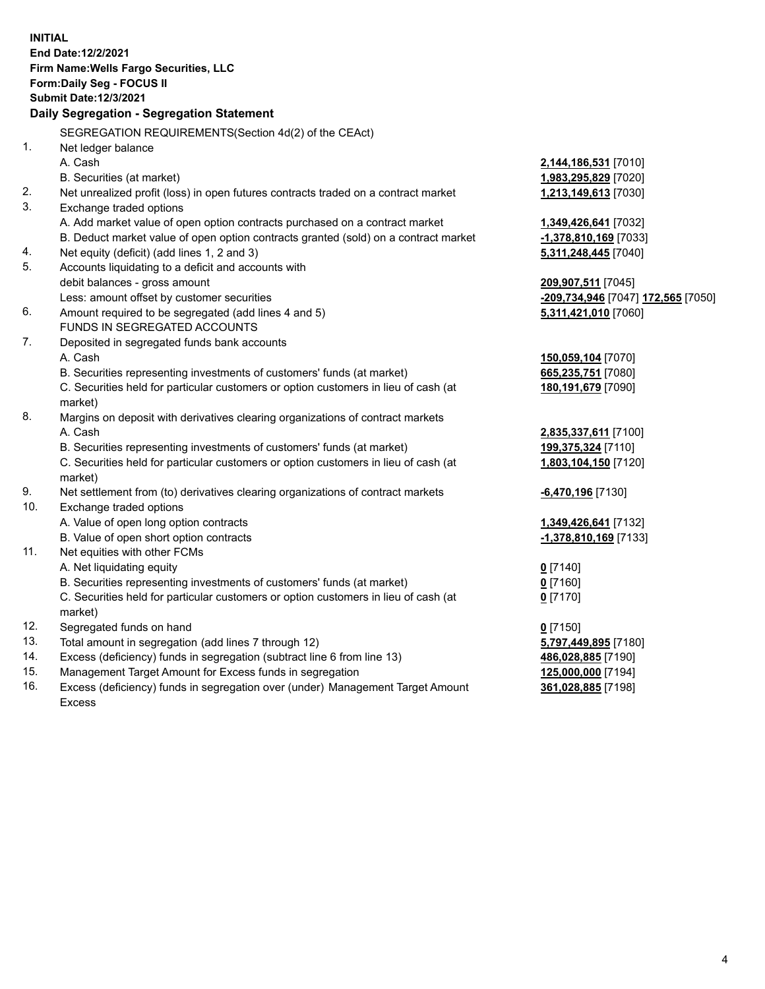**INITIAL End Date:12/2/2021 Firm Name:Wells Fargo Securities, LLC Form:Daily Seg - FOCUS II Submit Date:12/3/2021 Daily Segregation - Segregation Statement** SEGREGATION REQUIREMENTS(Section 4d(2) of the CEAct) 1. Net ledger balance A. Cash **2,144,186,531** [7010] B. Securities (at market) **1,983,295,829** [7020] 2. Net unrealized profit (loss) in open futures contracts traded on a contract market **1,213,149,613** [7030] 3. Exchange traded options A. Add market value of open option contracts purchased on a contract market **1,349,426,641** [7032] B. Deduct market value of open option contracts granted (sold) on a contract market **-1,378,810,169** [7033] 4. Net equity (deficit) (add lines 1, 2 and 3) **5,311,248,445** [7040] 5. Accounts liquidating to a deficit and accounts with debit balances - gross amount **209,907,511** [7045] Less: amount offset by customer securities **-209,734,946** [7047] **172,565** [7050] 6. Amount required to be segregated (add lines 4 and 5) **5,311,421,010** [7060] FUNDS IN SEGREGATED ACCOUNTS 7. Deposited in segregated funds bank accounts A. Cash **150,059,104** [7070] B. Securities representing investments of customers' funds (at market) **665,235,751** [7080] C. Securities held for particular customers or option customers in lieu of cash (at market) **180,191,679** [7090] 8. Margins on deposit with derivatives clearing organizations of contract markets A. Cash **2,835,337,611** [7100] B. Securities representing investments of customers' funds (at market) **199,375,324** [7110] C. Securities held for particular customers or option customers in lieu of cash (at market) **1,803,104,150** [7120] 9. Net settlement from (to) derivatives clearing organizations of contract markets **-6,470,196** [7130] 10. Exchange traded options A. Value of open long option contracts **1,349,426,641** [7132] B. Value of open short option contracts **-1,378,810,169** [7133] 11. Net equities with other FCMs A. Net liquidating equity **0** [7140] B. Securities representing investments of customers' funds (at market) **0** [7160] C. Securities held for particular customers or option customers in lieu of cash (at market) **0** [7170] 12. Segregated funds on hand **0** [7150] 13. Total amount in segregation (add lines 7 through 12) **5,797,449,895** [7180] 14. Excess (deficiency) funds in segregation (subtract line 6 from line 13) **486,028,885** [7190]

- 15. Management Target Amount for Excess funds in segregation **125,000,000** [7194]
- 16. Excess (deficiency) funds in segregation over (under) Management Target Amount Excess

**361,028,885** [7198]